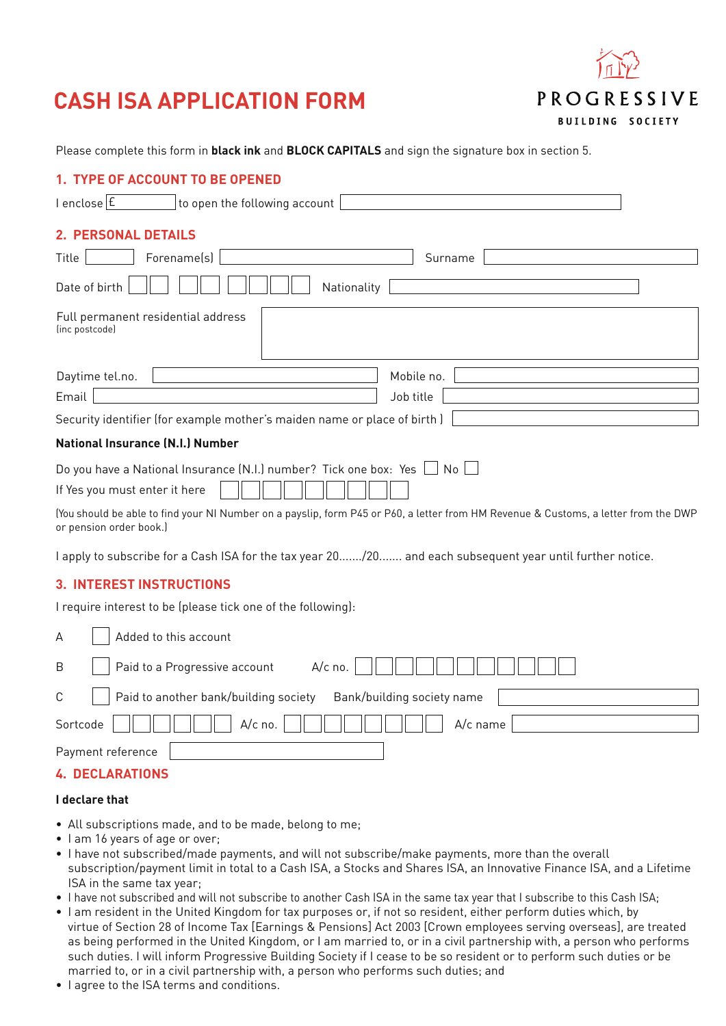# **CASH ISA APPLICATION FORM**



Please complete this form in **black ink** and **BLOCK CAPITALS** and sign the signature box in section 5.

## **1. TYPE OF ACCOUNT TO BE OPENED**

| I enclose E<br>to open the following account                                                                                                                                                                                                                                   |                            |
|--------------------------------------------------------------------------------------------------------------------------------------------------------------------------------------------------------------------------------------------------------------------------------|----------------------------|
| <b>2. PERSONAL DETAILS</b>                                                                                                                                                                                                                                                     |                            |
| Forename(s)<br>Title                                                                                                                                                                                                                                                           | Surname                    |
| Date of birth<br>Nationality                                                                                                                                                                                                                                                   |                            |
| Full permanent residential address<br>(inc postcode)                                                                                                                                                                                                                           |                            |
| Daytime tel.no.                                                                                                                                                                                                                                                                | Mobile no.                 |
| Email                                                                                                                                                                                                                                                                          | Job title                  |
| Security identifier (for example mother's maiden name or place of birth)                                                                                                                                                                                                       |                            |
| <b>National Insurance (N.I.) Number</b>                                                                                                                                                                                                                                        |                            |
| Do you have a National Insurance (N.I.) number? Tick one box: Yes $\Box$ No<br>If Yes you must enter it here<br>(You should be able to find your NI Number on a payslip, form P45 or P60, a letter from HM Revenue & Customs, a letter from the DWP<br>or pension order book.) |                            |
| I apply to subscribe for a Cash ISA for the tax year 20/20 and each subsequent year until further notice.                                                                                                                                                                      |                            |
| <b>3. INTEREST INSTRUCTIONS</b><br>I require interest to be (please tick one of the following):                                                                                                                                                                                |                            |
| Added to this account<br>A                                                                                                                                                                                                                                                     |                            |
| Paid to a Progressive account<br>$A/c$ no.<br>B                                                                                                                                                                                                                                |                            |
| Paid to another bank/building society<br>С                                                                                                                                                                                                                                     | Bank/building society name |
| $A/c$ no.<br>Sortcode                                                                                                                                                                                                                                                          | A/c name                   |
| Payment reference                                                                                                                                                                                                                                                              |                            |

## **4. DECLARATIONS**

#### **I declare that**

- All subscriptions made, and to be made, belong to me;
- I am 16 years of age or over;
- I have not subscribed/made payments, and will not subscribe/make payments, more than the overall subscription/payment limit in total to a Cash ISA, a Stocks and Shares ISA, an Innovative Finance ISA, and a Lifetime ISA in the same tax year;
- I have not subscribed and will not subscribe to another Cash ISA in the same tax year that I subscribe to this Cash ISA;
- I am resident in the United Kingdom for tax purposes or, if not so resident, either perform duties which, by virtue of Section 28 of Income Tax [Earnings & Pensions] Act 2003 [Crown employees serving overseas], are treated as being performed in the United Kingdom, or I am married to, or in a civil partnership with, a person who performs such duties. I will inform Progressive Building Society if I cease to be so resident or to perform such duties or be married to, or in a civil partnership with, a person who performs such duties; and
- I agree to the ISA terms and conditions.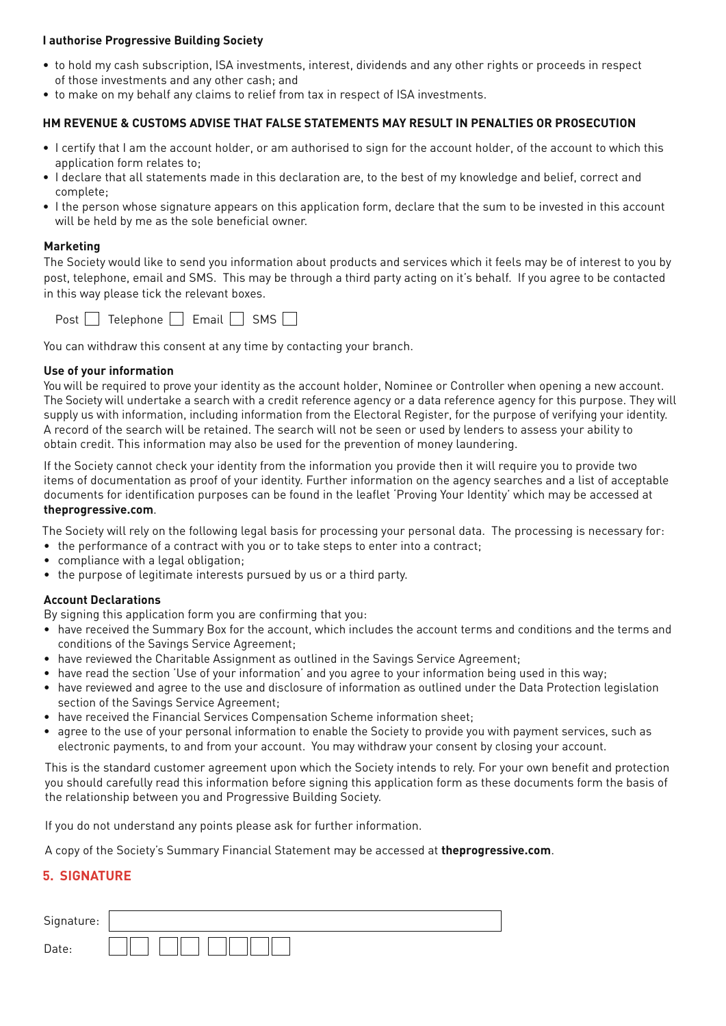## **I authorise Progressive Building Society**

- to hold my cash subscription, ISA investments, interest, dividends and any other rights or proceeds in respect of those investments and any other cash; and
- to make on my behalf any claims to relief from tax in respect of ISA investments.

#### **HM REVENUE & CUSTOMS ADVISE THAT FALSE STATEMENTS MAY RESULT IN PENALTIES OR PROSECUTION**

- I certify that I am the account holder, or am authorised to sign for the account holder, of the account to which this application form relates to;
- I declare that all statements made in this declaration are, to the best of my knowledge and belief, correct and complete;
- I the person whose signature appears on this application form, declare that the sum to be invested in this account will be held by me as the sole beneficial owner.

#### **Marketing**

The Society would like to send you information about products and services which it feels may be of interest to you by post, telephone, email and SMS. This may be through a third party acting on it's behalf. If you agree to be contacted in this way please tick the relevant boxes.

| Post $\Box$ Telephone $\Box$ Email $\Box$ SMS $\Box$ |  |  |  |  |
|------------------------------------------------------|--|--|--|--|
|------------------------------------------------------|--|--|--|--|

You can withdraw this consent at any time by contacting your branch.

#### **Use of your information**

You will be required to prove your identity as the account holder, Nominee or Controller when opening a new account. The Society will undertake a search with a credit reference agency or a data reference agency for this purpose. They will supply us with information, including information from the Electoral Register, for the purpose of verifying your identity. A record of the search will be retained. The search will not be seen or used by lenders to assess your ability to obtain credit. This information may also be used for the prevention of money laundering.

If the Society cannot check your identity from the information you provide then it will require you to provide two items of documentation as proof of your identity. Further information on the agency searches and a list of acceptable documents for identification purposes can be found in the leaflet 'Proving Your Identity' which may be accessed at **theprogressive.com**.

The Society will rely on the following legal basis for processing your personal data. The processing is necessary for:

- the performance of a contract with you or to take steps to enter into a contract;
- compliance with a legal obligation;
- the purpose of legitimate interests pursued by us or a third party.

#### **Account Declarations**

By signing this application form you are confirming that you:

- have received the Summary Box for the account, which includes the account terms and conditions and the terms and conditions of the Savings Service Agreement;
- have reviewed the Charitable Assignment as outlined in the Savings Service Agreement;
- have read the section 'Use of your information' and you agree to your information being used in this way;
- have reviewed and agree to the use and disclosure of information as outlined under the Data Protection legislation section of the Savings Service Agreement;
- have received the Financial Services Compensation Scheme information sheet;
- agree to the use of your personal information to enable the Society to provide you with payment services, such as electronic payments, to and from your account. You may withdraw your consent by closing your account.

This is the standard customer agreement upon which the Society intends to rely. For your own benefit and protection you should carefully read this information before signing this application form as these documents form the basis of the relationship between you and Progressive Building Society.

If you do not understand any points please ask for further information.

A copy of the Society's Summary Financial Statement may be accessed at **theprogressive.com**.

## **5. SIGNATURE**

| Signature: |  |
|------------|--|
| Date:      |  |